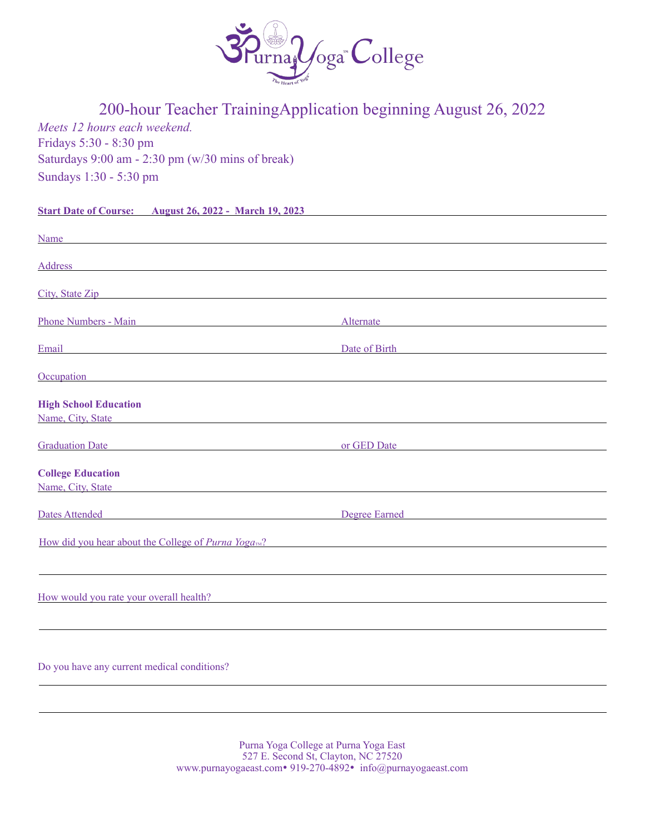

# 200-hour Teacher TrainingApplication beginning August 26, 2022

*Meets 12 hours each weekend.*  Fridays 5:30 - 8:30 pm Saturdays 9:00 am - 2:30 pm (w/30 mins of break) Sundays 1:30 - 5:30 pm

**Start Date of Course: August 26, 2022 - March 19, 2023** 

| Name<br><u> 1980 - Johann Marie Barn, mars an t-Amerikaansk ferhandsk foarmen (* 1950)</u>                                                                                                                                          |                                                                                                                                                                                                                                |
|-------------------------------------------------------------------------------------------------------------------------------------------------------------------------------------------------------------------------------------|--------------------------------------------------------------------------------------------------------------------------------------------------------------------------------------------------------------------------------|
| Address and the contract of the contract of the contract of the contract of the contract of the contract of the contract of the contract of the contract of the contract of the contract of the contract of the contract of th      |                                                                                                                                                                                                                                |
|                                                                                                                                                                                                                                     |                                                                                                                                                                                                                                |
| City, State Zip                                                                                                                                                                                                                     |                                                                                                                                                                                                                                |
|                                                                                                                                                                                                                                     |                                                                                                                                                                                                                                |
| <b>Phone Numbers - Main</b><br><u> 1989 - Johann Barbara, martxa alemaniar arg</u>                                                                                                                                                  | Alternate                                                                                                                                                                                                                      |
| Email<br><u> 1989 - Johann Stoff, deutscher Stoffen und der Stoffen und der Stoffen und der Stoffen und der Stoffen und der</u>                                                                                                     | Date of Birth Date of Birth                                                                                                                                                                                                    |
| Occupation<br><u> 1989 - Johann Barbara, martxa alemaniar arg</u>                                                                                                                                                                   |                                                                                                                                                                                                                                |
| <b>High School Education</b>                                                                                                                                                                                                        |                                                                                                                                                                                                                                |
| Name, City, State experience and the state of the state of the state of the state of the state of the state of the state of the state of the state of the state of the state of the state of the state of the state of the sta      |                                                                                                                                                                                                                                |
|                                                                                                                                                                                                                                     |                                                                                                                                                                                                                                |
| <b>Calculation Date Service School School School School School School School School School School School School School School School School School School School School School School School School School School School Schoo</b>  |                                                                                                                                                                                                                                |
| <b>College Education</b>                                                                                                                                                                                                            |                                                                                                                                                                                                                                |
| Name, City, State Name and State State State State State State State State State State State State State State State State State State State State State State State State State State State State State State State State Sta      |                                                                                                                                                                                                                                |
|                                                                                                                                                                                                                                     |                                                                                                                                                                                                                                |
| Dates Attended <b>Exercise Services</b> and the service of the service of the service of the service of the service of the service of the service of the service of the service of the service of the service of the service of the | Degree Earned and the state of the state of the state of the state of the state of the state of the state of the state of the state of the state of the state of the state of the state of the state of the state of the state |
| How did you hear about the College of <i>Purna Yoga</i> <sup><i>m?</i></sup>                                                                                                                                                        |                                                                                                                                                                                                                                |
|                                                                                                                                                                                                                                     |                                                                                                                                                                                                                                |
|                                                                                                                                                                                                                                     |                                                                                                                                                                                                                                |
| How would you rate your overall health?                                                                                                                                                                                             |                                                                                                                                                                                                                                |
|                                                                                                                                                                                                                                     |                                                                                                                                                                                                                                |
|                                                                                                                                                                                                                                     |                                                                                                                                                                                                                                |
|                                                                                                                                                                                                                                     |                                                                                                                                                                                                                                |
| Do you have any current medical conditions?                                                                                                                                                                                         |                                                                                                                                                                                                                                |

Purna Yoga College at Purna Yoga East 527 E. Second St, Clayton, NC 27520 www.purnayogaeast.com• 919-270-4892• info@purnayogaeast.com